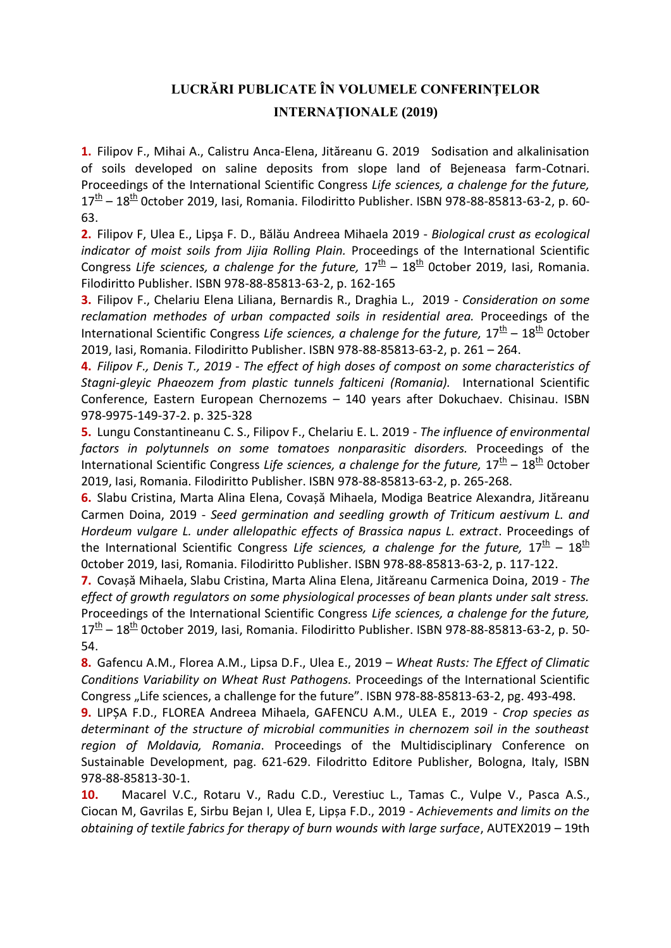## **LUCRĂRI PUBLICATE ÎN VOLUMELE CONFERINŢELOR INTERNAŢIONALE (2019)**

**1.** Filipov F., Mihai A., Calistru Anca-Elena, Jităreanu G. 2019 Sodisation and alkalinisation of soils developed on saline deposits from slope land of Bejeneasa farm-Cotnari. Proceedings of the International Scientific Congress *Life sciences, a chalenge for the future,*   $17<sup>th</sup>$  – 18<sup>th</sup> October 2019, Iasi, Romania. Filodiritto Publisher. ISBN 978-88-85813-63-2, p. 60-63.

**2.** Filipov F, Ulea E., Lipşa F. D., Bălău Andreea Mihaela 2019 - *Biological crust as ecological indicator of moist soils from Jijia Rolling Plain.* Proceedings of the International Scientific Congress Life sciences, a chalenge for the future,  $17<sup>th</sup>$  –  $18<sup>th</sup>$  October 2019, Iasi, Romania. Filodiritto Publisher. ISBN 978-88-85813-63-2, p. 162-165

**3.** Filipov F., Chelariu Elena Liliana, Bernardis R., Draghia L., 2019 *- Consideration on some*  reclamation methodes of urban compacted soils in residential area. Proceedings of the International Scientific Congress Life sciences, a chalenge for the future, 17<sup>th</sup> – 18<sup>th</sup> October 2019, Iasi, Romania. Filodiritto Publisher. ISBN 978-88-85813-63-2, p. 261 – 264.

**4.** *Filipov F., Denis T., 2019 - The effect of high doses of compost on some characteristics of Stagni-gleyic Phaeozem from plastic tunnels falticeni (Romania).* International Scientific Conference, Eastern European Chernozems – 140 years after Dokuchaev. Chisinau. ISBN 978-9975-149-37-2. p. 325-328

**5.** Lungu Constantineanu C. S., Filipov F., Chelariu E. L. 2019 - *The influence of environmental factors in polytunnels on some tomatoes nonparasitic disorders.* Proceedings of the International Scientific Congress Life sciences, a chalenge for the future, 17<sup>th</sup> – 18<sup>th</sup> October 2019, Iasi, Romania. Filodiritto Publisher. ISBN 978-88-85813-63-2, p. 265-268.

**6.** Slabu Cristina, Marta Alina Elena, Covașă Mihaela, Modiga Beatrice Alexandra, Jităreanu Carmen Doina, 2019 - *Seed germination and seedling growth of Triticum aestivum L. and Hordeum vulgare L. under allelopathic effects of Brassica napus L. extract*. Proceedings of the International Scientific Congress *Life sciences, a chalenge for the future,*  $17^{\underline{th}} - 18^{\underline{th}}$ 0ctober 2019, Iasi, Romania. Filodiritto Publisher. ISBN 978-88-85813-63-2, p. 117-122.

**7.** Covașă Mihaela, Slabu Cristina, Marta Alina Elena, Jităreanu Carmenica Doina, 2019 - *The effect of growth regulators on some physiological processes of bean plants under salt stress.* Proceedings of the International Scientific Congress *Life sciences, a chalenge for the future,*   $17<sup>th</sup>$  – 18<sup>th</sup> October 2019, Iasi, Romania. Filodiritto Publisher. ISBN 978-88-85813-63-2, p. 50-54.

**8.** Gafencu A.M., Florea A.M., Lipsa D.F., Ulea E., 2019 – *Wheat Rusts: The Effect of Climatic Conditions Variability on Wheat Rust Pathogens.* Proceedings of the International Scientific Congress "Life sciences, a challenge for the future". ISBN 978-88-85813-63-2, pg. 493-498.

**9.** LIPȘA F.D., FLOREA Andreea Mihaela, GAFENCU A.M., ULEA E., 2019 - *Crop species as determinant of the structure of microbial communities in chernozem soil in the southeast region of Moldavia, Romania*. Proceedings of the Multidisciplinary Conference on Sustainable Development, pag. 621-629. Filodritto Editore Publisher, Bologna, Italy, ISBN 978-88-85813-30-1.

**10.** Macarel V.C., Rotaru V., Radu C.D., Verestiuc L., Tamas C., Vulpe V., Pasca A.S., Ciocan M, Gavrilas E, Sirbu Bejan I, Ulea E, Lipșa F.D., 2019 - *Achievements and limits on the obtaining of textile fabrics for therapy of burn wounds with large surface*, AUTEX2019 – 19th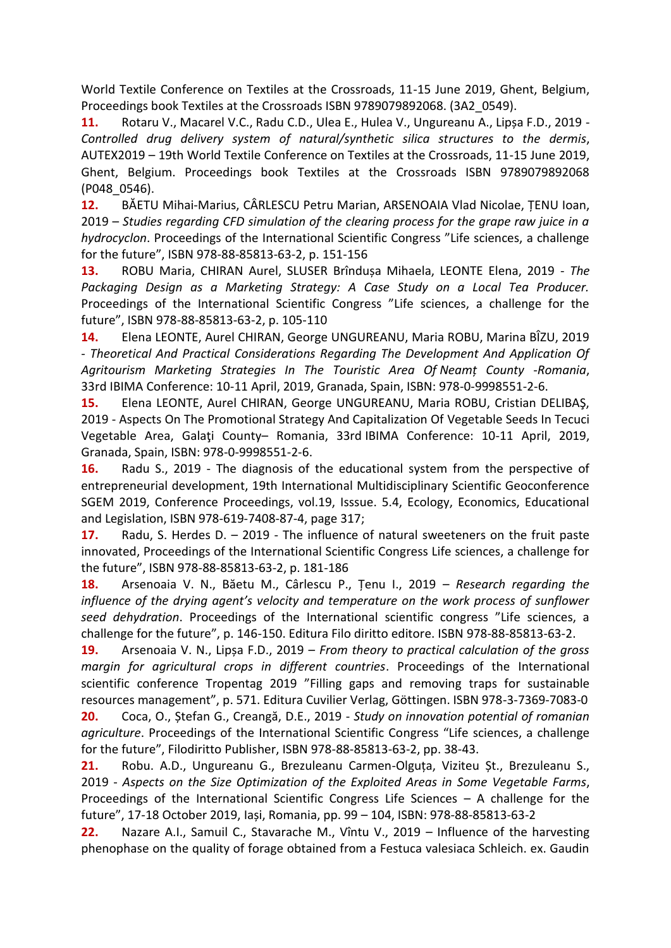World Textile Conference on Textiles at the Crossroads, 11-15 June 2019, Ghent, Belgium, Proceedings book Textiles at the Crossroads ISBN 9789079892068. (3A2\_0549).

**11.** Rotaru V., Macarel V.C., Radu C.D., Ulea E., Hulea V., Ungureanu A., Lipșa F.D., 2019 - *Controlled drug delivery system of natural/synthetic silica structures to the dermis*, AUTEX2019 – 19th World Textile Conference on Textiles at the Crossroads, 11-15 June 2019, Ghent, Belgium. Proceedings book Textiles at the Crossroads ISBN 9789079892068 (P048\_0546).

**12.** BĂETU Mihai-Marius, CÂRLESCU Petru Marian, ARSENOAIA Vlad Nicolae, ȚENU Ioan, 2019 – *Studies regarding CFD simulation of the clearing process for the grape raw juice in a hydrocyclon*. Proceedings of the International Scientific Congress "Life sciences, a challenge for the future", ISBN 978-88-85813-63-2, p. 151-156

**13.** ROBU Maria, CHIRAN Aurel, SLUSER Brîndușa Mihaela, LEONTE Elena, 2019 - *The Packaging Design as a Marketing Strategy: A Case Study on a Local Tea Producer.*  Proceedings of the International Scientific Congress "Life sciences, a challenge for the future", ISBN 978-88-85813-63-2, p. 105-110

**14.** Elena LEONTE, Aurel CHIRAN, George UNGUREANU, Maria ROBU, Marina BÎZU, 2019 - *Theoretical And Practical Considerations Regarding The Development And Application Of Agritourism Marketing Strategies In The Touristic Area Of Neamț County -Romania*, 33rd IBIMA Conference: 10-11 April, 2019, Granada, Spain, ISBN: 978-0-9998551-2-6.

**15.** Elena LEONTE, Aurel CHIRAN, George UNGUREANU, Maria ROBU, Cristian DELIBAŞ, 2019 - Aspects On The Promotional Strategy And Capitalization Of Vegetable Seeds In Tecuci Vegetable Area, Galaţi County– Romania, 33rd IBIMA Conference: 10-11 April, 2019, Granada, Spain, ISBN: 978-0-9998551-2-6.

**16.** Radu S., 2019 - The diagnosis of the educational system from the perspective of entrepreneurial development, 19th International Multidisciplinary Scientific Geoconference SGEM 2019, Conference Proceedings, vol.19, Isssue. 5.4, Ecology, Economics, Educational and Legislation, ISBN 978-619-7408-87-4, page 317;

**17.** Radu, S. Herdes D. – 2019 - The influence of natural sweeteners on the fruit paste innovated, Proceedings of the International Scientific Congress Life sciences, a challenge for the future", ISBN 978-88-85813-63-2, p. 181-186

**18.** Arsenoaia V. N., Băetu M., Cârlescu P., Țenu I., 2019 – *Research regarding the influence of the drying agent's velocity and temperature on the work process of sunflower seed dehydration*. Proceedings of the International scientific congress "Life sciences, a challenge for the future", p. 146-150. Editura Filo diritto editore. ISBN 978-88-85813-63-2.

**19.** Arsenoaia V. N., Lipșa F.D., 2019 – *From theory to practical calculation of the gross margin for agricultural crops in different countries*. Proceedings of the International scientific conference Tropentag 2019 "Filling gaps and removing traps for sustainable resources management", p. 571. Editura Cuvilier Verlag, Göttingen. ISBN 978-3-7369-7083-0 **20.** Coca, O., Ștefan G., Creangă, D.E., 2019 - *Study on innovation potential of romanian agriculture*. Proceedings of the International Scientific Congress "Life sciences, a challenge

for the future", Filodiritto Publisher, ISBN 978-88-85813-63-2, pp. 38-43.

**21.** Robu. A.D., Ungureanu G., Brezuleanu Carmen-Olguța, Viziteu Șt., Brezuleanu S., 2019 - *Aspects on the Size Optimization of the Exploited Areas in Some Vegetable Farms*, Proceedings of the International Scientific Congress Life Sciences – A challenge for the future", 17-18 October 2019, Iași, Romania, pp. 99 – 104, ISBN: 978-88-85813-63-2

**22.** Nazare A.I., Samuil C., Stavarache M., Vîntu V., 2019 – Influence of the harvesting phenophase on the quality of forage obtained from a Festuca valesiaca Schleich. ex. Gaudin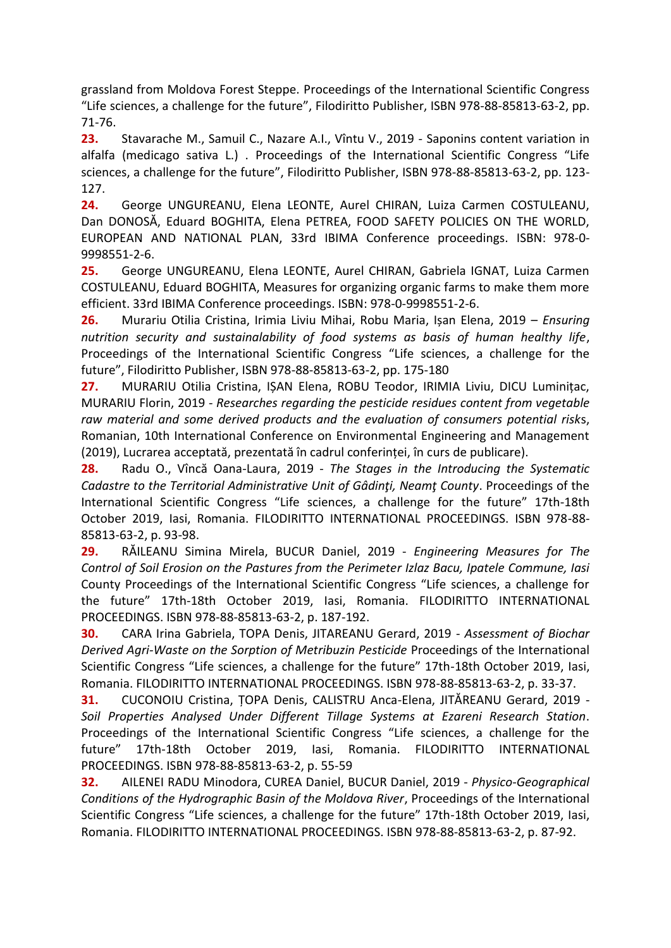grassland from Moldova Forest Steppe. Proceedings of the International Scientific Congress "Life sciences, a challenge for the future", Filodiritto Publisher, ISBN 978-88-85813-63-2, pp. 71-76.

**23.** Stavarache M., Samuil C., Nazare A.I., Vîntu V., 2019 - Saponins content variation in alfalfa (medicago sativa L.) . Proceedings of the International Scientific Congress "Life sciences, a challenge for the future", Filodiritto Publisher, ISBN 978-88-85813-63-2, pp. 123- 127.

**24.** George UNGUREANU, Elena LEONTE, Aurel CHIRAN, Luiza Carmen COSTULEANU, Dan DONOSĂ, Eduard BOGHITA, Elena PETREA, FOOD SAFETY POLICIES ON THE WORLD, EUROPEAN AND NATIONAL PLAN, 33rd IBIMA Conference proceedings. ISBN: 978-0- 9998551-2-6.

**25.** George UNGUREANU, Elena LEONTE, Aurel CHIRAN, Gabriela IGNAT, Luiza Carmen COSTULEANU, Eduard BOGHITA, Measures for organizing organic farms to make them more efficient. 33rd IBIMA Conference proceedings. ISBN: 978-0-9998551-2-6.

**26.** Murariu Otilia Cristina, Irimia Liviu Mihai, Robu Maria, Ișan Elena, 2019 – *Ensuring nutrition security and sustainalability of food systems as basis of human healthy life*, Proceedings of the International Scientific Congress "Life sciences, a challenge for the future", Filodiritto Publisher, ISBN 978-88-85813-63-2, pp. 175-180

**27.** MURARIU Otilia Cristina, IȘAN Elena, ROBU Teodor, IRIMIA Liviu, DICU Luminițac, MURARIU Florin, 2019 - *Researches regarding the pesticide residues content from vegetable raw material and some derived products and the evaluation of consumers potential risk*s, Romanian, 10th International Conference on Environmental Engineering and Management (2019), Lucrarea acceptată, prezentată în cadrul conferinței, în curs de publicare).

**28.** Radu O., Vîncă Oana-Laura, 2019 - *The Stages in the Introducing the Systematic Cadastre to the Territorial Administrative Unit of Gâdinţi, Neamţ County*. Proceedings of the International Scientific Congress "Life sciences, a challenge for the future" 17th-18th October 2019, Iasi, Romania. FILODIRITTO INTERNATIONAL PROCEEDINGS. ISBN 978-88- 85813-63-2, p. 93-98.

**29.** RĂILEANU Simina Mirela, BUCUR Daniel, 2019 - *Engineering Measures for The Control of Soil Erosion on the Pastures from the Perimeter Izlaz Bacu, Ipatele Commune, Iasi* County Proceedings of the International Scientific Congress "Life sciences, a challenge for the future" 17th-18th October 2019, Iasi, Romania. FILODIRITTO INTERNATIONAL PROCEEDINGS. ISBN 978-88-85813-63-2, p. 187-192.

**30.** CARA Irina Gabriela, TOPA Denis, JITAREANU Gerard, 2019 - *Assessment of Biochar Derived Agri-Waste on the Sorption of Metribuzin Pesticide* Proceedings of the International Scientific Congress "Life sciences, a challenge for the future" 17th-18th October 2019, Iasi, Romania. FILODIRITTO INTERNATIONAL PROCEEDINGS. ISBN 978-88-85813-63-2, p. 33-37.

**31.** CUCONOIU Cristina, ȚOPA Denis, CALISTRU Anca-Elena, JITĂREANU Gerard, 2019 - *Soil Properties Analysed Under Different Tillage Systems at Ezareni Research Station*. Proceedings of the International Scientific Congress "Life sciences, a challenge for the future" 17th-18th October 2019, Iasi, Romania. FILODIRITTO INTERNATIONAL PROCEEDINGS. ISBN 978-88-85813-63-2, p. 55-59

**32.** AILENEI RADU Minodora, CUREA Daniel, BUCUR Daniel, 2019 - *Physico-Geographical Conditions of the Hydrographic Basin of the Moldova River*, Proceedings of the International Scientific Congress "Life sciences, a challenge for the future" 17th-18th October 2019, Iasi, Romania. FILODIRITTO INTERNATIONAL PROCEEDINGS. ISBN 978-88-85813-63-2, p. 87-92.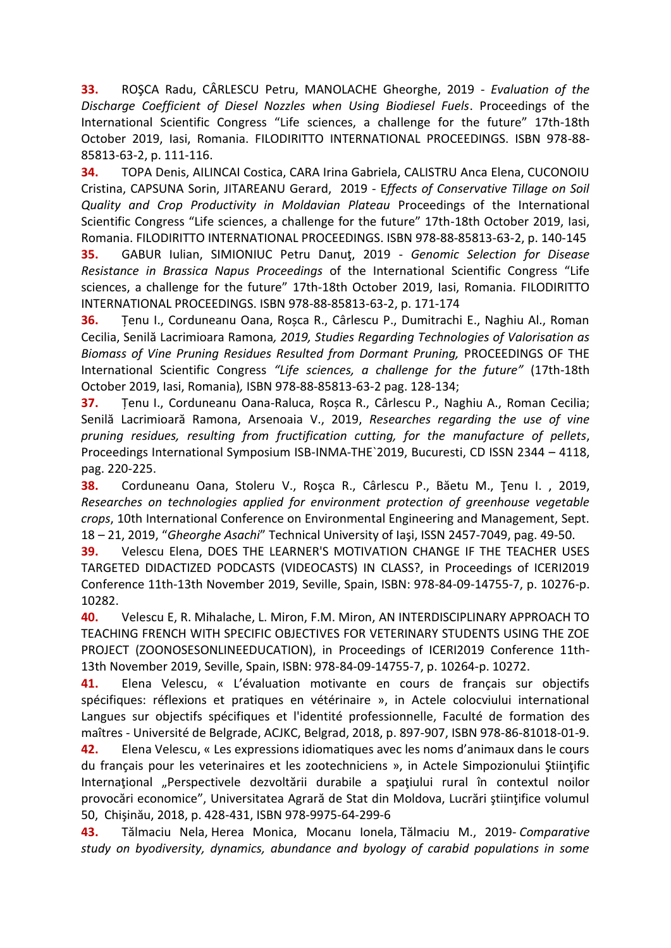**33.** ROŞCA Radu, CÂRLESCU Petru, MANOLACHE Gheorghe, 2019 - *Evaluation of the Discharge Coefficient of Diesel Nozzles when Using Biodiesel Fuels*. Proceedings of the International Scientific Congress "Life sciences, a challenge for the future" 17th-18th October 2019, Iasi, Romania. FILODIRITTO INTERNATIONAL PROCEEDINGS. ISBN 978-88- 85813-63-2, p. 111-116.

**34.** TOPA Denis, AILINCAI Costica, CARA Irina Gabriela, CALISTRU Anca Elena, CUCONOIU Cristina, CAPSUNA Sorin, JITAREANU Gerard, 2019 - E*ffects of Conservative Tillage on Soil Quality and Crop Productivity in Moldavian Plateau* Proceedings of the International Scientific Congress "Life sciences, a challenge for the future" 17th-18th October 2019, Iasi, Romania. FILODIRITTO INTERNATIONAL PROCEEDINGS. ISBN 978-88-85813-63-2, p. 140-145

**35.** GABUR Iulian, SIMIONIUC Petru Danuţ, 2019 - *Genomic Selection for Disease Resistance in Brassica Napus Proceedings* of the International Scientific Congress "Life sciences, a challenge for the future" 17th-18th October 2019, Iasi, Romania. FILODIRITTO INTERNATIONAL PROCEEDINGS. ISBN 978-88-85813-63-2, p. 171-174

**36.** Țenu I., Corduneanu Oana, Roșca R., Cârlescu P., Dumitrachi E., Naghiu Al., Roman Cecilia, Senilă Lacrimioara Ramona*, 2019, Studies Regarding Technologies of Valorisation as Biomass of Vine Pruning Residues Resulted from Dormant Pruning,* PROCEEDINGS OF THE International Scientific Congress *"Life sciences, a challenge for the future"* (17th-18th October 2019, Iasi, Romania)*,* ISBN 978-88-85813-63-2 pag. 128-134;

**37.** Țenu I., Corduneanu Oana-Raluca, Roșca R., Cârlescu P., Naghiu A., Roman Cecilia; Senilă Lacrimioară Ramona, Arsenoaia V., 2019, *Researches regarding the use of vine pruning residues, resulting from fructification cutting, for the manufacture of pellets*, Proceedings International Symposium ISB-INMA-THE`2019, Bucuresti, CD ISSN 2344 – 4118, pag. 220-225.

**38.** Corduneanu Oana, Stoleru V., Roşca R., Cârlescu P., Băetu M., Ţenu I. , 2019, *Researches on technologies applied for environment protection of greenhouse vegetable crops*, 10th International Conference on Environmental Engineering and Management, Sept. 18 – 21, 2019, "*Gheorghe Asachi*" Technical University of Iaşi, ISSN 2457-7049, pag. 49-50.

**39.** Velescu Elena, DOES THE LEARNER'S MOTIVATION CHANGE IF THE TEACHER USES TARGETED DIDACTIZED PODCASTS (VIDEOCASTS) IN CLASS?, in Proceedings of ICERI2019 Conference 11th-13th November 2019, Seville, Spain, ISBN: 978-84-09-14755-7, p. 10276-p. 10282.

**40.** Velescu E, R. Mihalache, L. Miron, F.M. Miron, AN INTERDISCIPLINARY APPROACH TO TEACHING FRENCH WITH SPECIFIC OBJECTIVES FOR VETERINARY STUDENTS USING THE ZOE PROJECT (ZOONOSESONLINEEDUCATION), in Proceedings of ICERI2019 Conference 11th-13th November 2019, Seville, Spain, ISBN: 978-84-09-14755-7, p. 10264-p. 10272.

**41.** Elena Velescu, « L'évaluation motivante en cours de français sur objectifs spécifiques: réflexions et pratiques en vétérinaire », in Actele colocviului international Langues sur objectifs spécifiques et l'identité professionnelle, Faculté de formation des maîtres - Université de Belgrade, ACJKC, Belgrad, 2018, p. 897-907, ISBN 978-86-81018-01-9.

**42.** Elena Velescu, « Les expressions idiomatiques avec les noms d'animaux dans le cours du français pour les veterinaires et les zootechniciens », in Actele Simpozionului Ştiințific Internațional "Perspectivele dezvoltării durabile a spațiului rural în contextul noilor provocări economice", Universitatea Agrară de Stat din Moldova, Lucrări ştiinţifice volumul 50, Chişinău, 2018, p. 428-431, ISBN 978-9975-64-299-6

**43.** Tălmaciu Nela, Herea Monica, Mocanu Ionela, Tălmaciu M., 2019- *Comparative study on byodiversity, dynamics, abundance and byology of carabid populations in some*